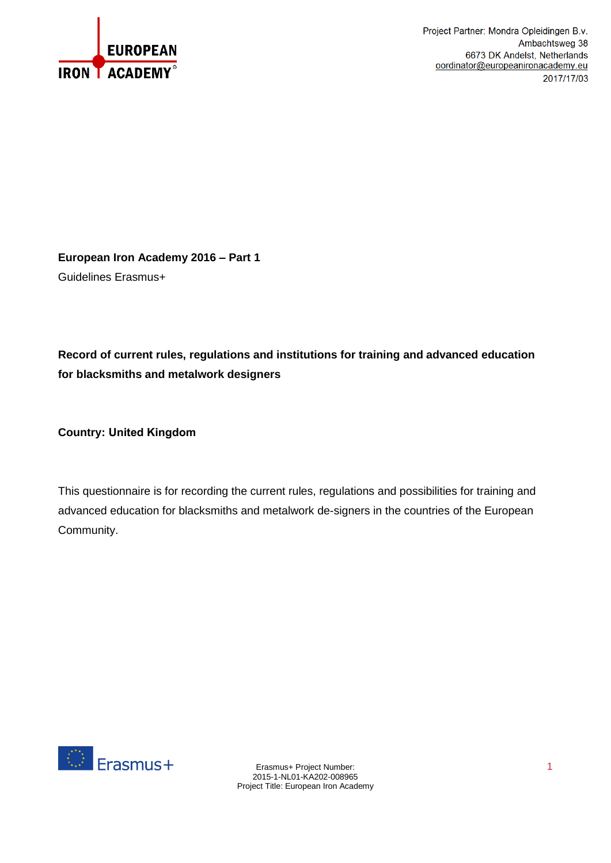

**European Iron Academy 2016 – Part 1** Guidelines Erasmus+

**Record of current rules, regulations and institutions for training and advanced education for blacksmiths and metalwork designers** 

**Country: United Kingdom**

This questionnaire is for recording the current rules, regulations and possibilities for training and advanced education for blacksmiths and metalwork de-signers in the countries of the European Community.

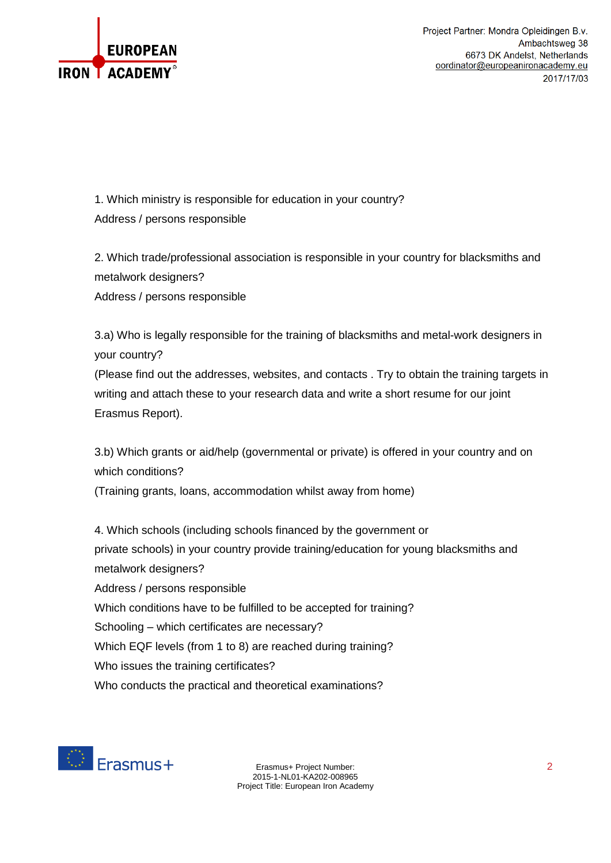

1. Which ministry is responsible for education in your country? Address / persons responsible

2. Which trade/professional association is responsible in your country for blacksmiths and metalwork designers? Address / persons responsible

3.a) Who is legally responsible for the training of blacksmiths and metal-work designers in your country?

(Please find out the addresses, websites, and contacts . Try to obtain the training targets in writing and attach these to your research data and write a short resume for our joint Erasmus Report).

3.b) Which grants or aid/help (governmental or private) is offered in your country and on which conditions?

(Training grants, loans, accommodation whilst away from home)

4. Which schools (including schools financed by the government or private schools) in your country provide training/education for young blacksmiths and metalwork designers? Address / persons responsible Which conditions have to be fulfilled to be accepted for training? Schooling – which certificates are necessary? Which EQF levels (from 1 to 8) are reached during training? Who issues the training certificates? Who conducts the practical and theoretical examinations?



Erasmus+ Project Number: 2 2015-1-NL01-KA202-008965 Project Title: European Iron Academy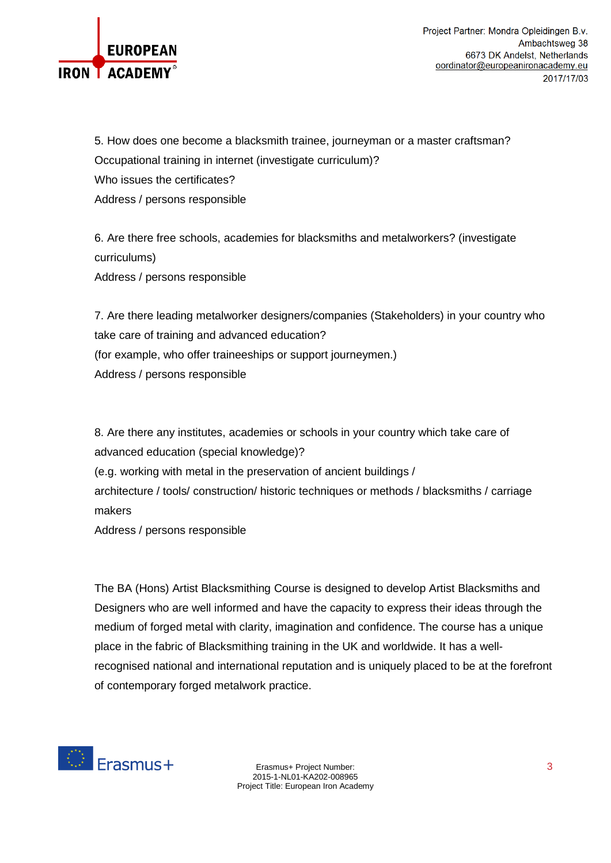

5. How does one become a blacksmith trainee, journeyman or a master craftsman? Occupational training in internet (investigate curriculum)? Who issues the certificates? Address / persons responsible

6. Are there free schools, academies for blacksmiths and metalworkers? (investigate curriculums) Address / persons responsible

7. Are there leading metalworker designers/companies (Stakeholders) in your country who take care of training and advanced education? (for example, who offer traineeships or support journeymen.) Address / persons responsible

8. Are there any institutes, academies or schools in your country which take care of advanced education (special knowledge)? (e.g. working with metal in the preservation of ancient buildings / architecture / tools/ construction/ historic techniques or methods / blacksmiths / carriage makers

Address / persons responsible

The BA (Hons) Artist Blacksmithing Course is designed to develop Artist Blacksmiths and Designers who are well informed and have the capacity to express their ideas through the medium of forged metal with clarity, imagination and confidence. The course has a unique place in the fabric of Blacksmithing training in the UK and worldwide. It has a wellrecognised national and international reputation and is uniquely placed to be at the forefront of contemporary forged metalwork practice.



Erasmus+ Project Number: 3 2015-1-NL01-KA202-008965 Project Title: European Iron Academy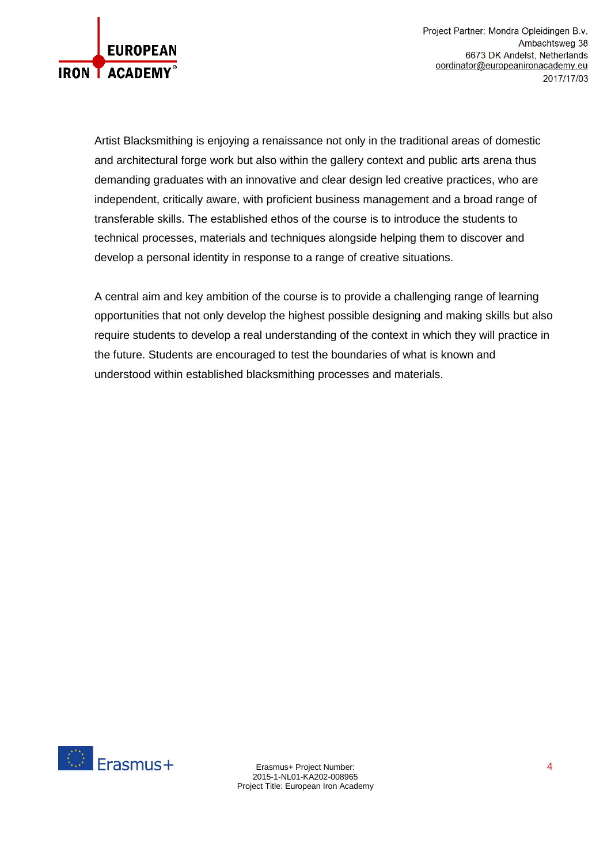

Artist Blacksmithing is enjoying a renaissance not only in the traditional areas of domestic and architectural forge work but also within the gallery context and public arts arena thus demanding graduates with an innovative and clear design led creative practices, who are independent, critically aware, with proficient business management and a broad range of transferable skills. The established ethos of the course is to introduce the students to technical processes, materials and techniques alongside helping them to discover and develop a personal identity in response to a range of creative situations.

A central aim and key ambition of the course is to provide a challenging range of learning opportunities that not only develop the highest possible designing and making skills but also require students to develop a real understanding of the context in which they will practice in the future. Students are encouraged to test the boundaries of what is known and understood within established blacksmithing processes and materials.

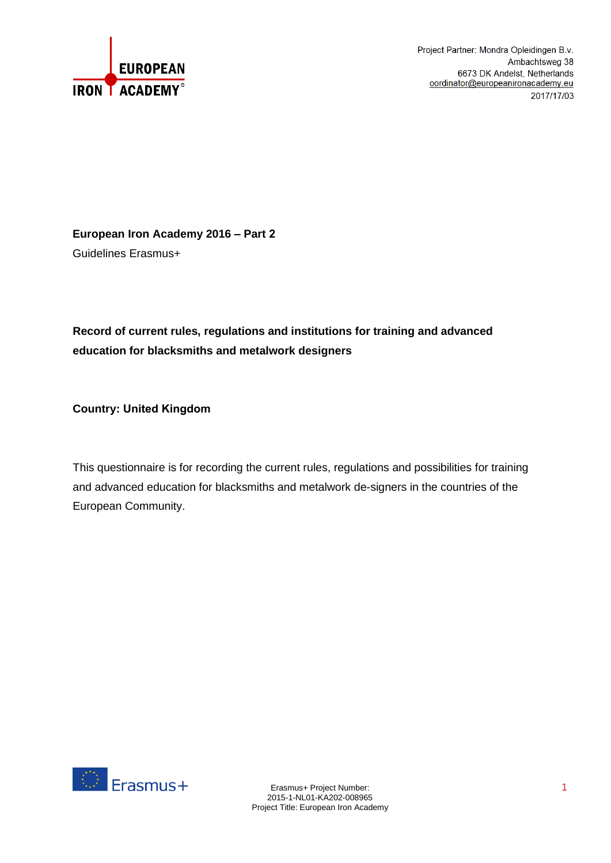

**European Iron Academy 2016 – Part 2** Guidelines Erasmus+

# **Record of current rules, regulations and institutions for training and advanced education for blacksmiths and metalwork designers**

**Country: United Kingdom**

This questionnaire is for recording the current rules, regulations and possibilities for training and advanced education for blacksmiths and metalwork de-signers in the countries of the European Community.

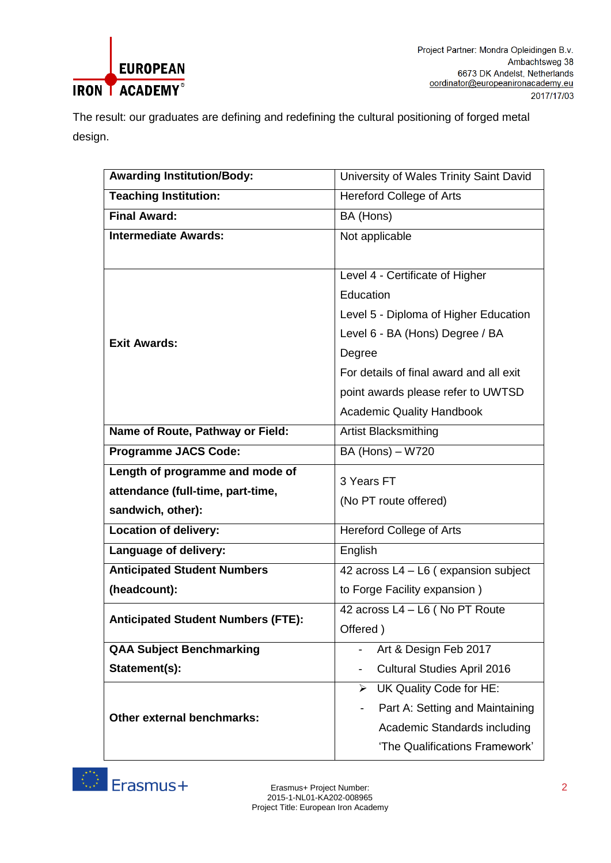

The result: our graduates are defining and redefining the cultural positioning of forged metal design.

| <b>Awarding Institution/Body:</b>         | University of Wales Trinity Saint David |  |  |
|-------------------------------------------|-----------------------------------------|--|--|
| <b>Teaching Institution:</b>              | <b>Hereford College of Arts</b>         |  |  |
| <b>Final Award:</b>                       | BA (Hons)                               |  |  |
| <b>Intermediate Awards:</b>               | Not applicable                          |  |  |
|                                           |                                         |  |  |
|                                           | Level 4 - Certificate of Higher         |  |  |
|                                           | Education                               |  |  |
|                                           | Level 5 - Diploma of Higher Education   |  |  |
|                                           | Level 6 - BA (Hons) Degree / BA         |  |  |
| <b>Exit Awards:</b>                       | Degree                                  |  |  |
|                                           | For details of final award and all exit |  |  |
|                                           | point awards please refer to UWTSD      |  |  |
|                                           | <b>Academic Quality Handbook</b>        |  |  |
| Name of Route, Pathway or Field:          | Artist Blacksmithing                    |  |  |
| <b>Programme JACS Code:</b>               | BA (Hons) - W720                        |  |  |
| Length of programme and mode of           |                                         |  |  |
| attendance (full-time, part-time,         | 3 Years FT                              |  |  |
| sandwich, other):                         | (No PT route offered)                   |  |  |
| <b>Location of delivery:</b>              | <b>Hereford College of Arts</b>         |  |  |
| Language of delivery:                     | English                                 |  |  |
| <b>Anticipated Student Numbers</b>        | 42 across L4 - L6 (expansion subject    |  |  |
| (headcount):                              | to Forge Facility expansion)            |  |  |
|                                           | 42 across L4 - L6 ( No PT Route         |  |  |
| <b>Anticipated Student Numbers (FTE):</b> | Offered)                                |  |  |
| <b>QAA Subject Benchmarking</b>           | Art & Design Feb 2017                   |  |  |
| Statement(s):                             | <b>Cultural Studies April 2016</b>      |  |  |
|                                           | UK Quality Code for HE:<br>➤            |  |  |
|                                           | Part A: Setting and Maintaining         |  |  |
| Other external benchmarks:                | Academic Standards including            |  |  |
|                                           | 'The Qualifications Framework'          |  |  |

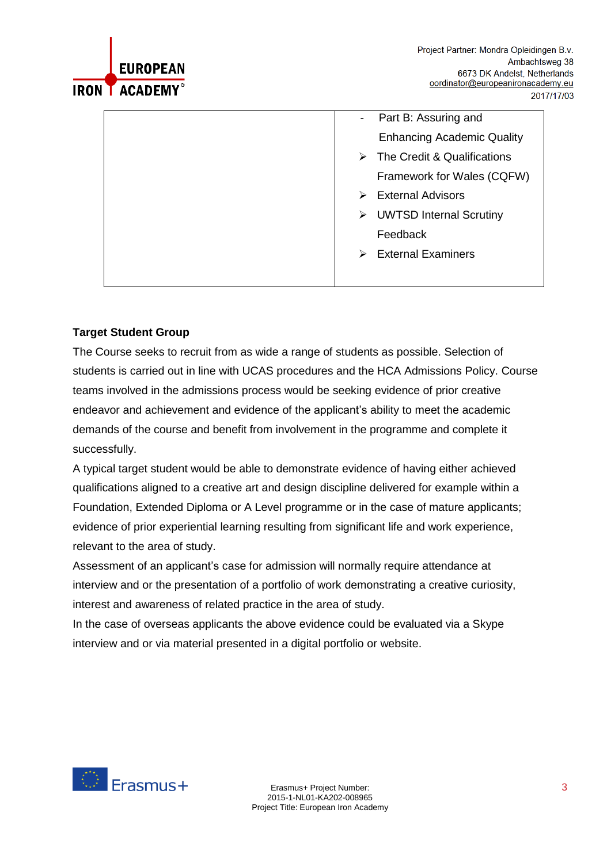

| Part B: Assuring and<br>$\sim$                  |
|-------------------------------------------------|
| <b>Enhancing Academic Quality</b>               |
| The Credit & Qualifications<br>$\triangleright$ |
| Framework for Wales (CQFW)                      |
| <b>External Advisors</b><br>➤                   |
| > UWTSD Internal Scrutiny                       |
| Feedback                                        |
| <b>External Examiners</b><br>➤                  |
|                                                 |

## **Target Student Group**

The Course seeks to recruit from as wide a range of students as possible. Selection of students is carried out in line with UCAS procedures and the HCA Admissions Policy. Course teams involved in the admissions process would be seeking evidence of prior creative endeavor and achievement and evidence of the applicant's ability to meet the academic demands of the course and benefit from involvement in the programme and complete it successfully.

A typical target student would be able to demonstrate evidence of having either achieved qualifications aligned to a creative art and design discipline delivered for example within a Foundation, Extended Diploma or A Level programme or in the case of mature applicants; evidence of prior experiential learning resulting from significant life and work experience, relevant to the area of study.

Assessment of an applicant's case for admission will normally require attendance at interview and or the presentation of a portfolio of work demonstrating a creative curiosity, interest and awareness of related practice in the area of study.

In the case of overseas applicants the above evidence could be evaluated via a Skype interview and or via material presented in a digital portfolio or website.

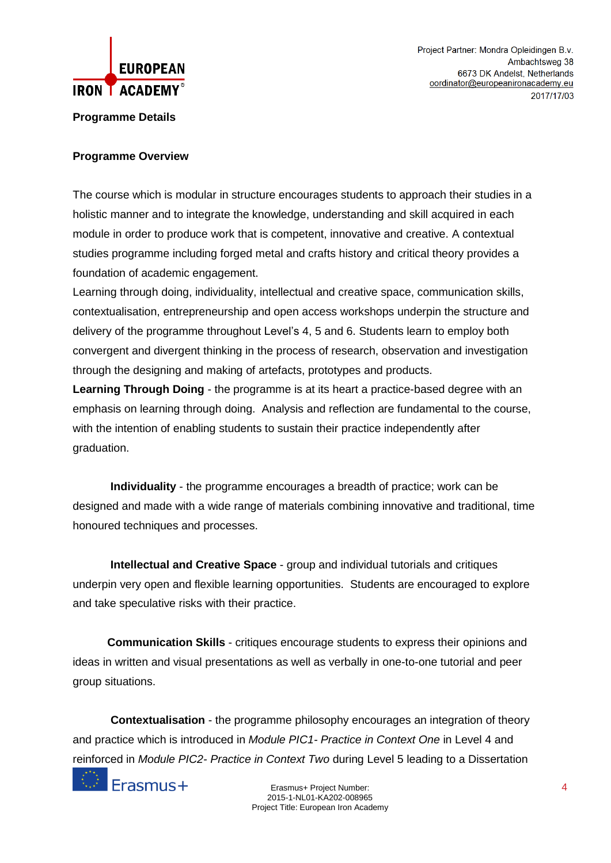

### **Programme Details**

### **Programme Overview**

The course which is modular in structure encourages students to approach their studies in a holistic manner and to integrate the knowledge, understanding and skill acquired in each module in order to produce work that is competent, innovative and creative. A contextual studies programme including forged metal and crafts history and critical theory provides a foundation of academic engagement.

Learning through doing, individuality, intellectual and creative space, communication skills, contextualisation, entrepreneurship and open access workshops underpin the structure and delivery of the programme throughout Level's 4, 5 and 6. Students learn to employ both convergent and divergent thinking in the process of research, observation and investigation through the designing and making of artefacts, prototypes and products.

**Learning Through Doing** - the programme is at its heart a practice-based degree with an emphasis on learning through doing. Analysis and reflection are fundamental to the course, with the intention of enabling students to sustain their practice independently after graduation.

 **Individuality** - the programme encourages a breadth of practice; work can be designed and made with a wide range of materials combining innovative and traditional, time honoured techniques and processes.

 **Intellectual and Creative Space** - group and individual tutorials and critiques underpin very open and flexible learning opportunities. Students are encouraged to explore and take speculative risks with their practice.

 **Communication Skills** - critiques encourage students to express their opinions and ideas in written and visual presentations as well as verbally in one-to-one tutorial and peer group situations.

 **Contextualisation** - the programme philosophy encourages an integration of theory and practice which is introduced in *Module PIC1- Practice in Context One* in Level 4 and reinforced in *Module PIC2- Practice in Context Two* during Level 5 leading to a Dissertation

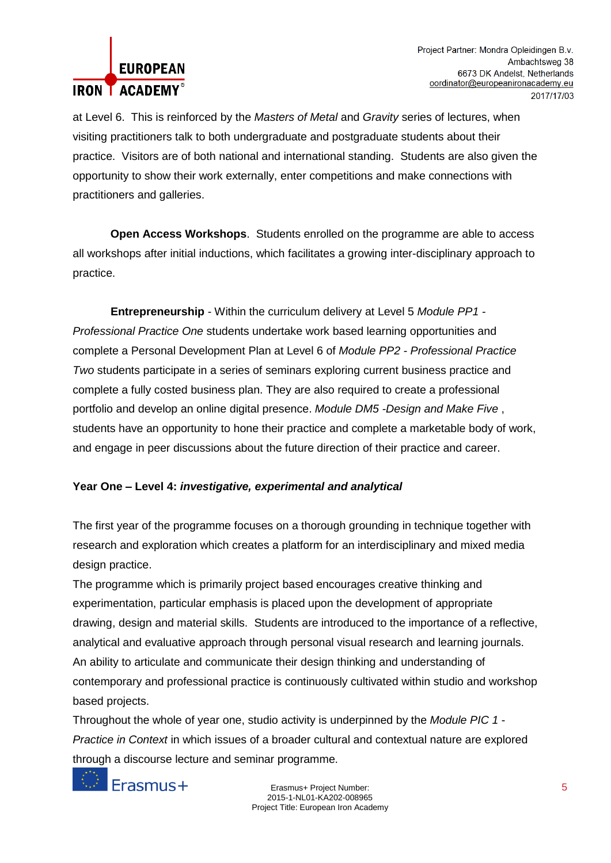# **EUROPEAN IRON LACADEMY**<sup>®</sup>

at Level 6. This is reinforced by the *Masters of Metal* and *Gravity* series of lectures, when visiting practitioners talk to both undergraduate and postgraduate students about their practice. Visitors are of both national and international standing. Students are also given the opportunity to show their work externally, enter competitions and make connections with practitioners and galleries.

 **Open Access Workshops**. Students enrolled on the programme are able to access all workshops after initial inductions, which facilitates a growing inter-disciplinary approach to practice.

 **Entrepreneurship** - Within the curriculum delivery at Level 5 *Module PP1 - Professional Practice One* students undertake work based learning opportunities and complete a Personal Development Plan at Level 6 of *Module PP2 - Professional Practice Two* students participate in a series of seminars exploring current business practice and complete a fully costed business plan. They are also required to create a professional portfolio and develop an online digital presence. *Module DM5 -Design and Make Five* , students have an opportunity to hone their practice and complete a marketable body of work, and engage in peer discussions about the future direction of their practice and career.

## **Year One – Level 4:** *investigative, experimental and analytical*

The first year of the programme focuses on a thorough grounding in technique together with research and exploration which creates a platform for an interdisciplinary and mixed media design practice.

The programme which is primarily project based encourages creative thinking and experimentation, particular emphasis is placed upon the development of appropriate drawing, design and material skills. Students are introduced to the importance of a reflective, analytical and evaluative approach through personal visual research and learning journals. An ability to articulate and communicate their design thinking and understanding of contemporary and professional practice is continuously cultivated within studio and workshop based projects.

Throughout the whole of year one, studio activity is underpinned by the *Module PIC 1* - *Practice in Context* in which issues of a broader cultural and contextual nature are explored through a discourse lecture and seminar programme.



Erasmus+ Project Number: 5 2015-1-NL01-KA202-008965 Project Title: European Iron Academy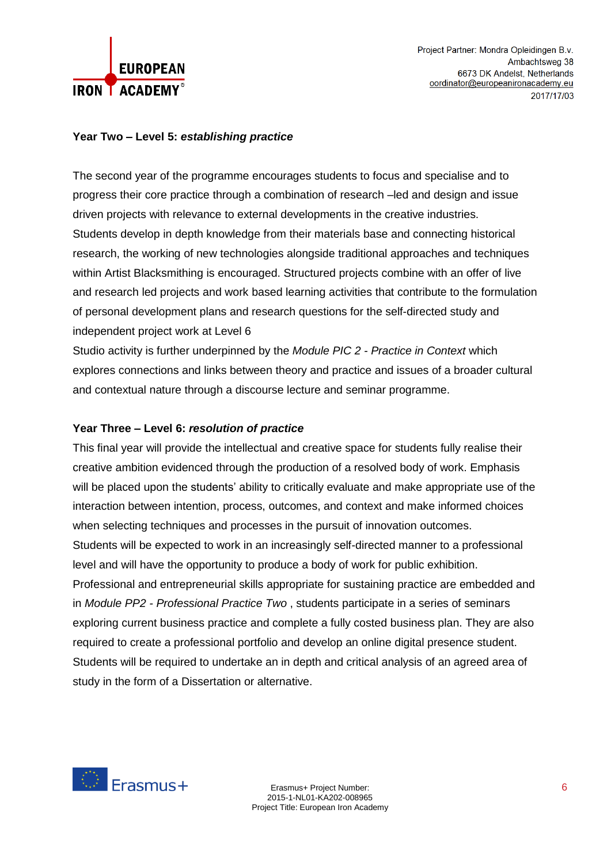

#### **Year Two – Level 5:** *establishing practice*

The second year of the programme encourages students to focus and specialise and to progress their core practice through a combination of research –led and design and issue driven projects with relevance to external developments in the creative industries. Students develop in depth knowledge from their materials base and connecting historical research, the working of new technologies alongside traditional approaches and techniques within Artist Blacksmithing is encouraged. Structured projects combine with an offer of live and research led projects and work based learning activities that contribute to the formulation of personal development plans and research questions for the self-directed study and independent project work at Level 6

Studio activity is further underpinned by the *Module PIC 2 - Practice in Context* which explores connections and links between theory and practice and issues of a broader cultural and contextual nature through a discourse lecture and seminar programme.

#### **Year Three – Level 6:** *resolution of practice*

This final year will provide the intellectual and creative space for students fully realise their creative ambition evidenced through the production of a resolved body of work. Emphasis will be placed upon the students' ability to critically evaluate and make appropriate use of the interaction between intention, process, outcomes, and context and make informed choices when selecting techniques and processes in the pursuit of innovation outcomes. Students will be expected to work in an increasingly self-directed manner to a professional level and will have the opportunity to produce a body of work for public exhibition. Professional and entrepreneurial skills appropriate for sustaining practice are embedded and in *Module PP2 - Professional Practice Two* , students participate in a series of seminars exploring current business practice and complete a fully costed business plan. They are also required to create a professional portfolio and develop an online digital presence student. Students will be required to undertake an in depth and critical analysis of an agreed area of study in the form of a Dissertation or alternative.

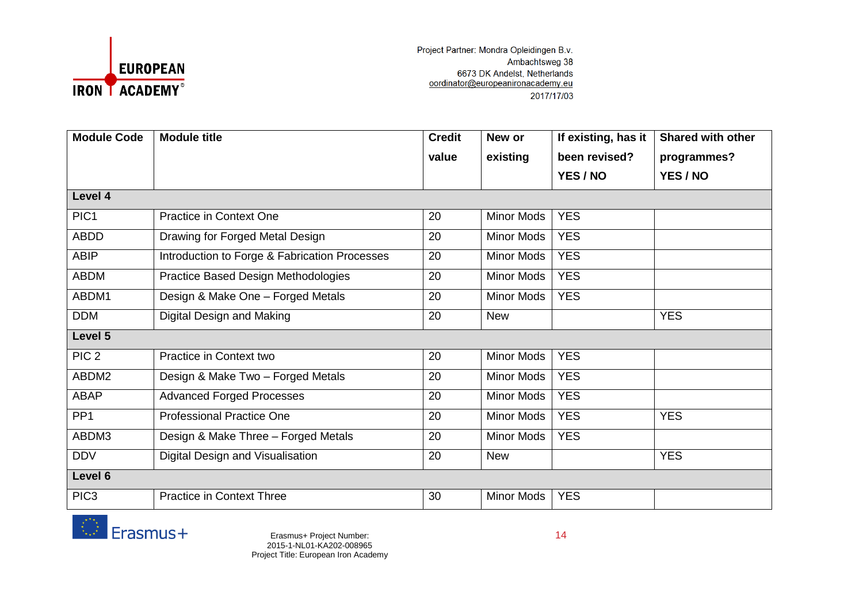

| <b>Module Code</b> | <b>Module title</b>                           | <b>Credit</b> | New or            | If existing, has it | <b>Shared with other</b> |
|--------------------|-----------------------------------------------|---------------|-------------------|---------------------|--------------------------|
|                    |                                               | value         | existing          | been revised?       | programmes?              |
|                    |                                               |               |                   | YES / NO            | YES / NO                 |
| Level 4            |                                               |               |                   |                     |                          |
| PIC <sub>1</sub>   | <b>Practice in Context One</b>                | 20            | Minor Mods        | <b>YES</b>          |                          |
| <b>ABDD</b>        | Drawing for Forged Metal Design               | 20            | <b>Minor Mods</b> | <b>YES</b>          |                          |
| <b>ABIP</b>        | Introduction to Forge & Fabrication Processes | 20            | <b>Minor Mods</b> | <b>YES</b>          |                          |
| <b>ABDM</b>        | Practice Based Design Methodologies           | 20            | Minor Mods        | <b>YES</b>          |                          |
| ABDM1              | Design & Make One - Forged Metals             | 20            | <b>Minor Mods</b> | <b>YES</b>          |                          |
| <b>DDM</b>         | Digital Design and Making                     | 20            | <b>New</b>        |                     | <b>YES</b>               |
| Level 5            |                                               |               |                   |                     |                          |
| PIC <sub>2</sub>   | Practice in Context two                       | 20            | <b>Minor Mods</b> | <b>YES</b>          |                          |
| ABDM2              | Design & Make Two - Forged Metals             | 20            | <b>Minor Mods</b> | <b>YES</b>          |                          |
| ABAP               | <b>Advanced Forged Processes</b>              | 20            | Minor Mods        | <b>YES</b>          |                          |
| PP <sub>1</sub>    | <b>Professional Practice One</b>              | 20            | <b>Minor Mods</b> | <b>YES</b>          | <b>YES</b>               |
| ABDM3              | Design & Make Three - Forged Metals           | 20            | Minor Mods        | <b>YES</b>          |                          |
| <b>DDV</b>         | Digital Design and Visualisation              | 20            | <b>New</b>        |                     | <b>YES</b>               |
| Level 6            |                                               |               |                   |                     |                          |
| PIC <sub>3</sub>   | <b>Practice in Context Three</b>              | 30            | <b>Minor Mods</b> | <b>YES</b>          |                          |



Erasmus+ Project Number: 14 2015-1-NL01-KA202-008965 Project Title: European Iron Academy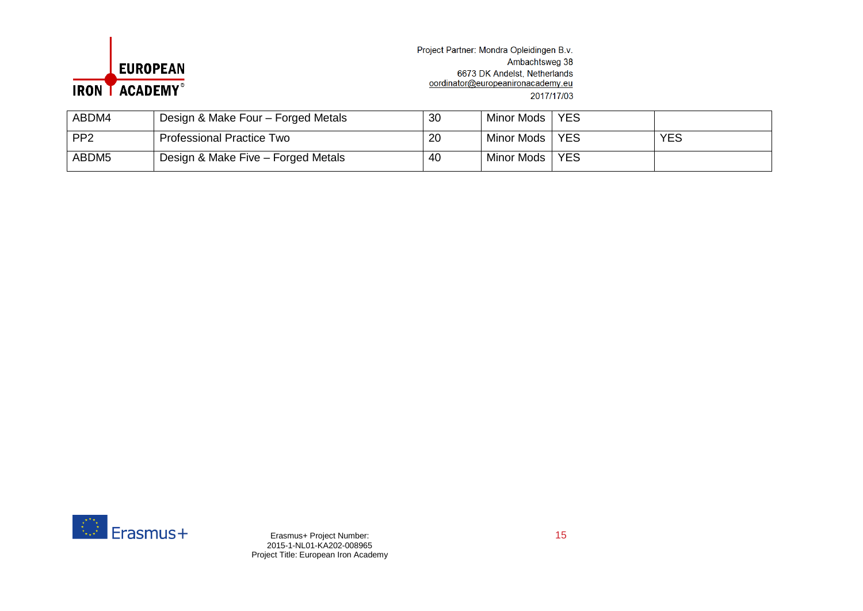

| ABDM4           | Design & Make Four - Forged Metals | 30 | Minor Mods 1 | <b>YES</b> |            |
|-----------------|------------------------------------|----|--------------|------------|------------|
| PP <sub>2</sub> | <b>Professional Practice Two</b>   | 20 | Minor Mods   | <b>YES</b> | <b>YES</b> |
| ABDM5           | Design & Make Five - Forged Metals | 40 | Minor Mods   | <b>YES</b> |            |



Erasmus+ Project Number: 15 2015-1-NL01-KA202-008965 Project Title: European Iron Academy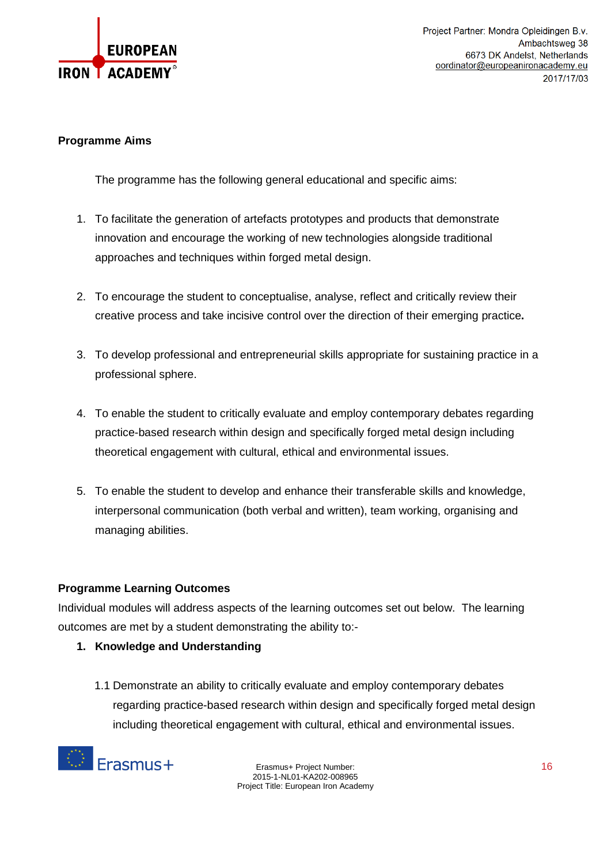

#### **Programme Aims**

The programme has the following general educational and specific aims:

- 1. To facilitate the generation of artefacts prototypes and products that demonstrate innovation and encourage the working of new technologies alongside traditional approaches and techniques within forged metal design.
- 2. To encourage the student to conceptualise, analyse, reflect and critically review their creative process and take incisive control over the direction of their emerging practice**.**
- 3. To develop professional and entrepreneurial skills appropriate for sustaining practice in a professional sphere.
- 4. To enable the student to critically evaluate and employ contemporary debates regarding practice-based research within design and specifically forged metal design including theoretical engagement with cultural, ethical and environmental issues.
- 5. To enable the student to develop and enhance their transferable skills and knowledge, interpersonal communication (both verbal and written), team working, organising and managing abilities.

#### **Programme Learning Outcomes**

Individual modules will address aspects of the learning outcomes set out below. The learning outcomes are met by a student demonstrating the ability to:-

- **1. Knowledge and Understanding**
	- 1.1 Demonstrate an ability to critically evaluate and employ contemporary debates regarding practice-based research within design and specifically forged metal design including theoretical engagement with cultural, ethical and environmental issues.

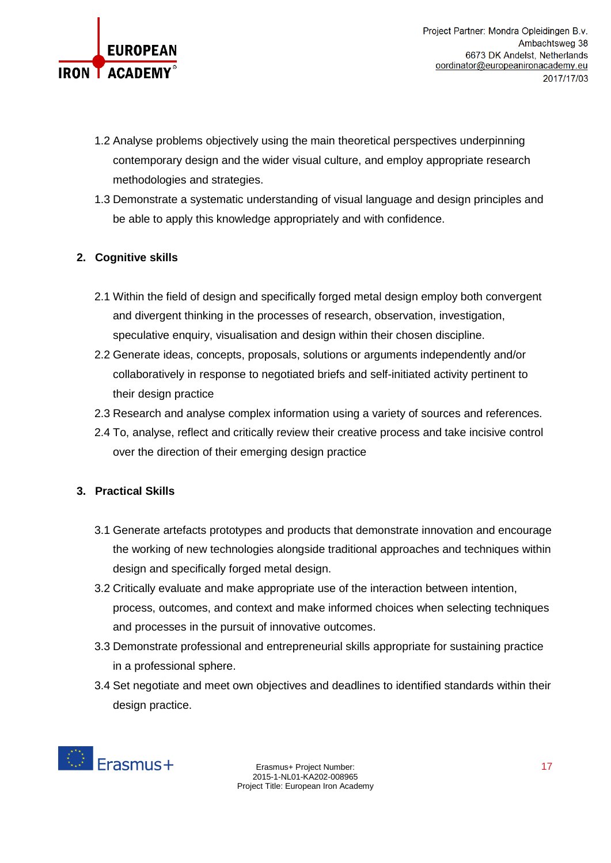

- 1.2 Analyse problems objectively using the main theoretical perspectives underpinning contemporary design and the wider visual culture, and employ appropriate research methodologies and strategies.
- 1.3 Demonstrate a systematic understanding of visual language and design principles and be able to apply this knowledge appropriately and with confidence.

## **2. Cognitive skills**

- 2.1 Within the field of design and specifically forged metal design employ both convergent and divergent thinking in the processes of research, observation, investigation, speculative enquiry, visualisation and design within their chosen discipline.
- 2.2 Generate ideas, concepts, proposals, solutions or arguments independently and/or collaboratively in response to negotiated briefs and self-initiated activity pertinent to their design practice
- 2.3 Research and analyse complex information using a variety of sources and references.
- 2.4 To, analyse, reflect and critically review their creative process and take incisive control over the direction of their emerging design practice

## **3. Practical Skills**

- 3.1 Generate artefacts prototypes and products that demonstrate innovation and encourage the working of new technologies alongside traditional approaches and techniques within design and specifically forged metal design.
- 3.2 Critically evaluate and make appropriate use of the interaction between intention, process, outcomes, and context and make informed choices when selecting techniques and processes in the pursuit of innovative outcomes.
- 3.3 Demonstrate professional and entrepreneurial skills appropriate for sustaining practice in a professional sphere.
- 3.4 Set negotiate and meet own objectives and deadlines to identified standards within their design practice.

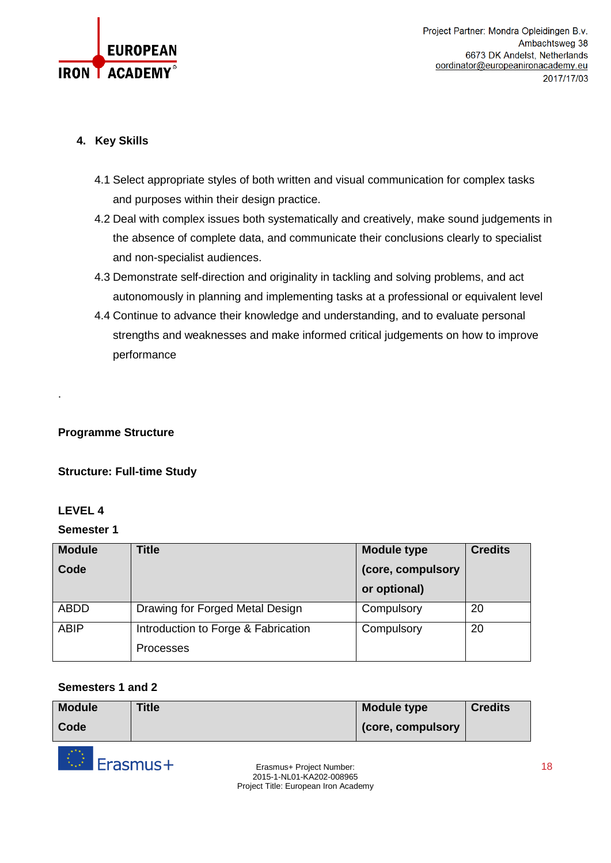

## **4. Key Skills**

- 4.1 Select appropriate styles of both written and visual communication for complex tasks and purposes within their design practice.
- 4.2 Deal with complex issues both systematically and creatively, make sound judgements in the absence of complete data, and communicate their conclusions clearly to specialist and non-specialist audiences.
- 4.3 Demonstrate self-direction and originality in tackling and solving problems, and act autonomously in planning and implementing tasks at a professional or equivalent level
- 4.4 Continue to advance their knowledge and understanding, and to evaluate personal strengths and weaknesses and make informed critical judgements on how to improve performance

## **Programme Structure**

## **Structure: Full-time Study**

## **LEVEL 4**

.

## **Semester 1**

| <b>Module</b> | <b>Title</b>                        | <b>Module type</b> | <b>Credits</b> |
|---------------|-------------------------------------|--------------------|----------------|
| Code          |                                     | (core, compulsory  |                |
|               |                                     | or optional)       |                |
| <b>ABDD</b>   | Drawing for Forged Metal Design     | Compulsory         | 20             |
| <b>ABIP</b>   | Introduction to Forge & Fabrication | Compulsory         | 20             |
|               | <b>Processes</b>                    |                    |                |

#### **Semesters 1 and 2**

| <b>Module</b> | <b>Title</b> | Module type        | <b>Credits</b> |
|---------------|--------------|--------------------|----------------|
| Code          |              | (core, compulsory) |                |

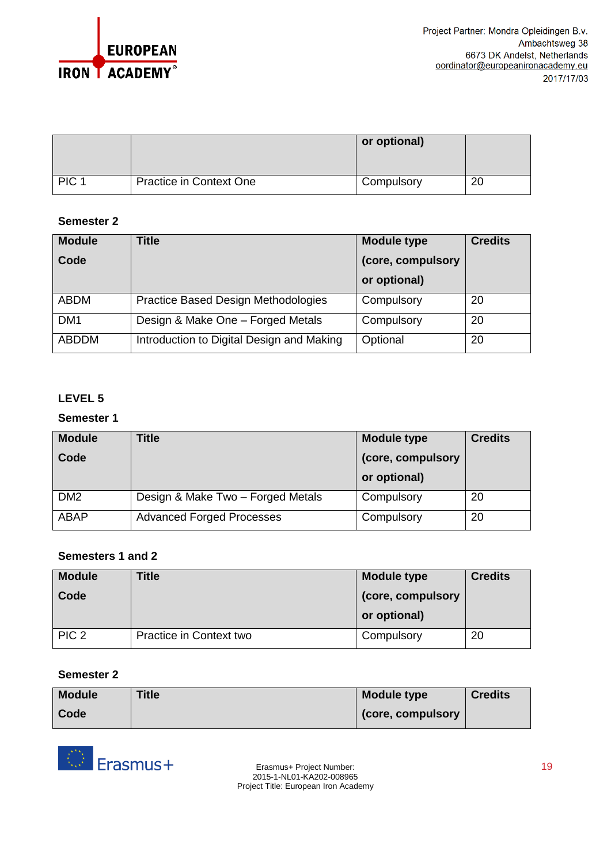

|                  |                         | or optional) |    |
|------------------|-------------------------|--------------|----|
| PIC <sub>1</sub> | Practice in Context One | Compulsory   | 20 |

## **Semester 2**

| <b>Module</b>   | <b>Title</b>                               | <b>Module type</b> | <b>Credits</b> |
|-----------------|--------------------------------------------|--------------------|----------------|
| Code            |                                            | (core, compulsory  |                |
|                 |                                            | or optional)       |                |
| ABDM            | <b>Practice Based Design Methodologies</b> | Compulsory         | 20             |
| DM <sub>1</sub> | Design & Make One - Forged Metals          | Compulsory         | 20             |
| <b>ABDDM</b>    | Introduction to Digital Design and Making  | Optional           | 20             |

## **LEVEL 5**

#### **Semester 1**

| <b>Module</b>   | <b>Title</b>                      | <b>Module type</b> | <b>Credits</b> |
|-----------------|-----------------------------------|--------------------|----------------|
| Code            |                                   | (core, compulsory  |                |
|                 |                                   | or optional)       |                |
| DM <sub>2</sub> | Design & Make Two - Forged Metals | Compulsory         | 20             |
| <b>ABAP</b>     | <b>Advanced Forged Processes</b>  | Compulsory         | 20             |

## **Semesters 1 and 2**

| <b>Module</b><br>Code | Title                   | <b>Module type</b><br>(core, compulsory | <b>Credits</b> |
|-----------------------|-------------------------|-----------------------------------------|----------------|
|                       |                         | or optional)                            |                |
| PIC <sub>2</sub>      | Practice in Context two | Compulsory                              | 20             |

#### **Semester 2**

| <b>Module</b> | <b>Title</b> | <b>Module type</b> | <b>Credits</b> |
|---------------|--------------|--------------------|----------------|
| Code          |              | (core, compulsory  |                |

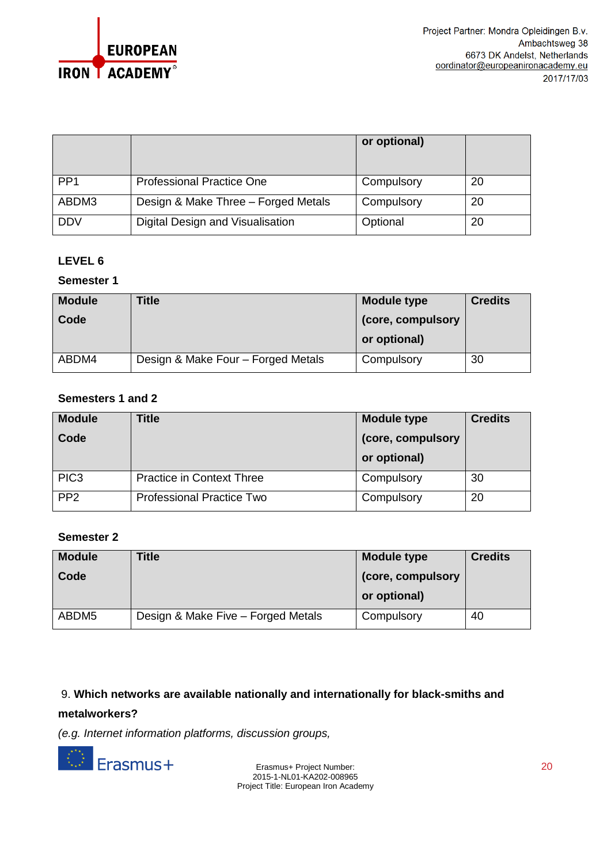

|                 |                                     | or optional) |    |
|-----------------|-------------------------------------|--------------|----|
| PP <sub>1</sub> | <b>Professional Practice One</b>    | Compulsory   | 20 |
| ABDM3           | Design & Make Three - Forged Metals | Compulsory   | 20 |
| <b>DDV</b>      | Digital Design and Visualisation    | Optional     | 20 |

### **LEVEL 6**

#### **Semester 1**

| <b>Module</b> | Title                              | <b>Module type</b> | <b>Credits</b> |
|---------------|------------------------------------|--------------------|----------------|
| Code          |                                    | (core, compulsory  |                |
|               |                                    | or optional)       |                |
| ABDM4         | Design & Make Four - Forged Metals | Compulsory         | 30             |

### **Semesters 1 and 2**

| <b>Module</b><br>Code | <b>Title</b>                     | <b>Module type</b><br>(core, compulsory<br>or optional) | <b>Credits</b> |
|-----------------------|----------------------------------|---------------------------------------------------------|----------------|
| PIC <sub>3</sub>      | <b>Practice in Context Three</b> | Compulsory                                              | 30             |
| PP <sub>2</sub>       | <b>Professional Practice Two</b> | Compulsory                                              | 20             |

#### **Semester 2**

| <b>Module</b>     | Title                              | <b>Module type</b> | <b>Credits</b> |
|-------------------|------------------------------------|--------------------|----------------|
| Code              |                                    | (core, compulsory) |                |
|                   |                                    | or optional)       |                |
| ABDM <sub>5</sub> | Design & Make Five - Forged Metals | Compulsory         | 40             |

#### 9. **Which networks are available nationally and internationally for black-smiths and**

#### **metalworkers?**

*(e.g. Internet information platforms, discussion groups,*



Erasmus+ Project Number: 20 2015-1-NL01-KA202-008965 Project Title: European Iron Academy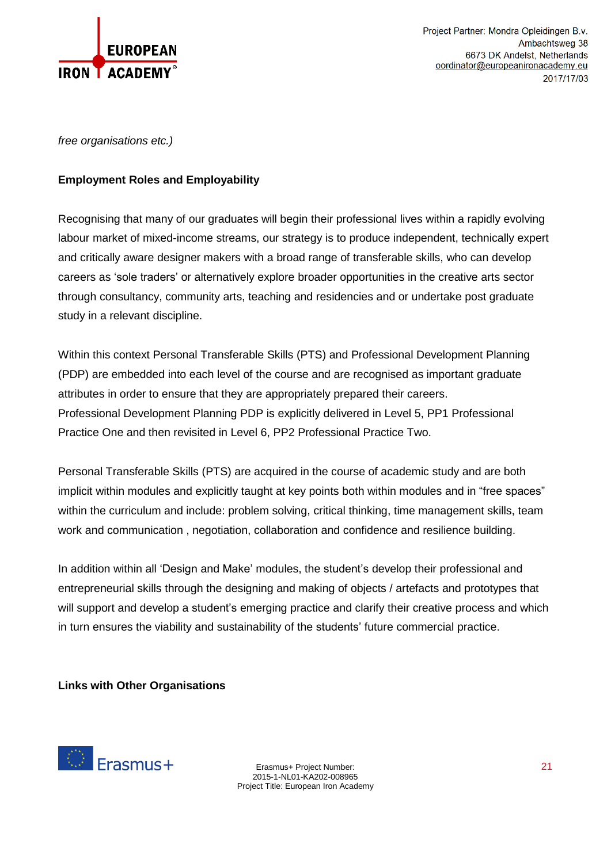

*free organisations etc.)*

### **Employment Roles and Employability**

Recognising that many of our graduates will begin their professional lives within a rapidly evolving labour market of mixed-income streams, our strategy is to produce independent, technically expert and critically aware designer makers with a broad range of transferable skills, who can develop careers as 'sole traders' or alternatively explore broader opportunities in the creative arts sector through consultancy, community arts, teaching and residencies and or undertake post graduate study in a relevant discipline.

Within this context Personal Transferable Skills (PTS) and Professional Development Planning (PDP) are embedded into each level of the course and are recognised as important graduate attributes in order to ensure that they are appropriately prepared their careers. Professional Development Planning PDP is explicitly delivered in Level 5, PP1 Professional Practice One and then revisited in Level 6, PP2 Professional Practice Two.

Personal Transferable Skills (PTS) are acquired in the course of academic study and are both implicit within modules and explicitly taught at key points both within modules and in "free spaces" within the curriculum and include: problem solving, critical thinking, time management skills, team work and communication , negotiation, collaboration and confidence and resilience building.

In addition within all 'Design and Make' modules, the student's develop their professional and entrepreneurial skills through the designing and making of objects / artefacts and prototypes that will support and develop a student's emerging practice and clarify their creative process and which in turn ensures the viability and sustainability of the students' future commercial practice.

## **Links with Other Organisations**

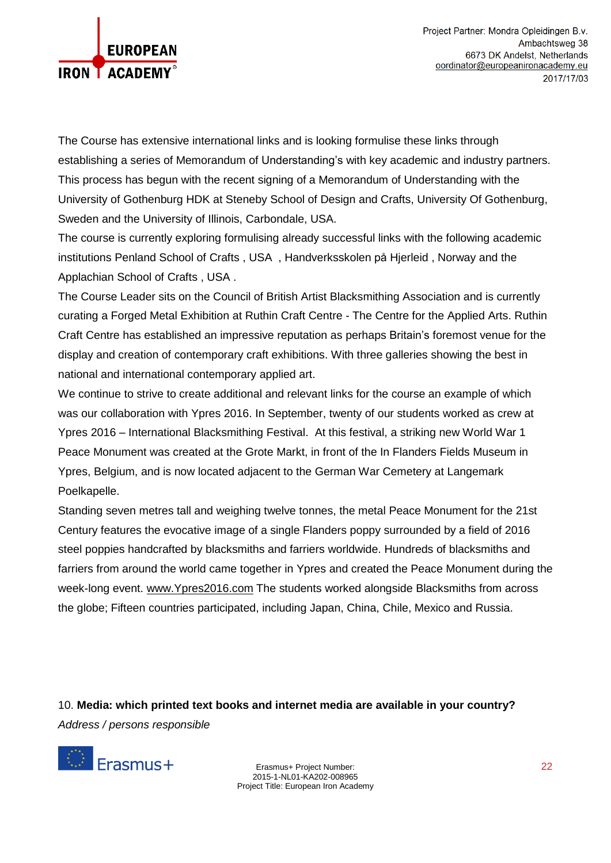

The Course has extensive international links and is looking formulise these links through establishing a series of Memorandum of Understanding's with key academic and industry partners. This process has begun with the recent signing of a Memorandum of Understanding with the University of Gothenburg HDK at Steneby School of Design and Crafts, University Of Gothenburg, Sweden and the University of Illinois, Carbondale, USA.

The course is currently exploring formulising already successful links with the following academic institutions Penland School of Crafts , USA , Handverksskolen på Hjerleid , Norway and the Applachian School of Crafts , USA .

The Course Leader sits on the Council of British Artist Blacksmithing Association and is currently curating a Forged Metal Exhibition at Ruthin Craft Centre - The Centre for the Applied Arts. Ruthin Craft Centre has established an impressive reputation as perhaps Britain's foremost venue for the display and creation of contemporary craft exhibitions. With three galleries showing the best in national and international contemporary applied art.

We continue to strive to create additional and relevant links for the course an example of which was our collaboration with Ypres 2016. In September, twenty of our students worked as crew at Ypres 2016 – International Blacksmithing Festival. At this festival, a striking new World War 1 Peace Monument was created at the Grote Markt, in front of the In Flanders Fields Museum in Ypres, Belgium, and is now located adjacent to the German War Cemetery at Langemark Poelkapelle.

Standing seven metres tall and weighing twelve tonnes, the metal Peace Monument for the 21st Century features the evocative image of a single Flanders poppy surrounded by a field of 2016 steel poppies handcrafted by blacksmiths and farriers worldwide. Hundreds of blacksmiths and farriers from around the world came together in Ypres and created the Peace Monument during the week-long event. [www.Ypres2016.com](http://www.ypres2016.com/) The students worked alongside Blacksmiths from across the globe; Fifteen countries participated, including Japan, China, Chile, Mexico and Russia.

10. **Media: which printed text books and internet media are available in your country?** *Address / persons responsible*



Erasmus+ Project Number: 22 2015-1-NL01-KA202-008965 Project Title: European Iron Academy